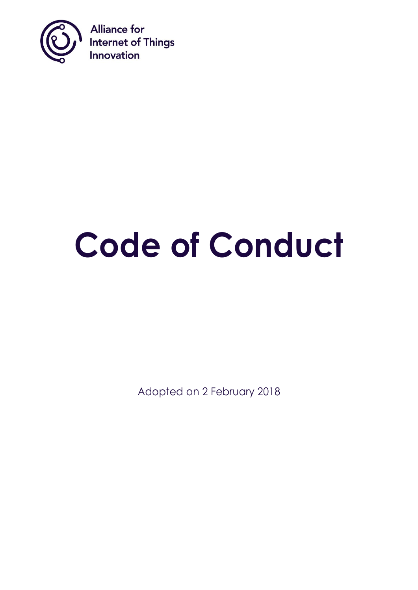

# **Code of Conduct**

Adopted on 2 February 2018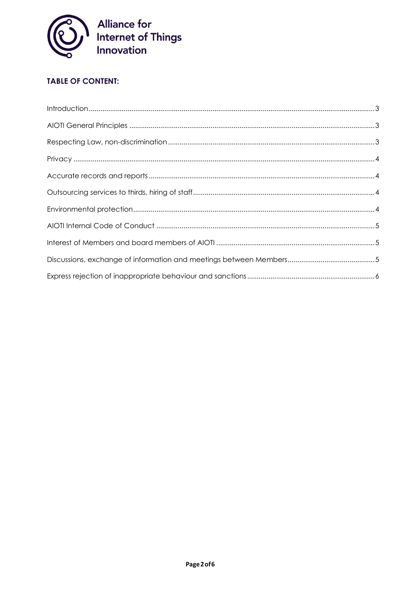

# **TABLE OF CONTENT:**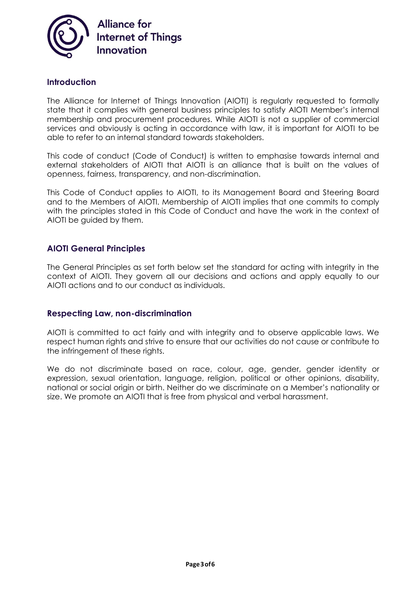

#### <span id="page-2-0"></span>**Introduction**

The Alliance for Internet of Things Innovation (AIOTI) is regularly requested to formally state that it complies with general business principles to satisfy AIOTI Member's internal membership and procurement procedures. While AIOTI is not a supplier of commercial services and obviously is acting in accordance with law, it is important for AIOTI to be able to refer to an internal standard towards stakeholders.

This code of conduct (Code of Conduct) is written to emphasise towards internal and external stakeholders of AIOTI that AIOTI is an alliance that is built on the values of openness, fairness, transparency, and non-discrimination.

This Code of Conduct applies to AIOTI, to its Management Board and Steering Board and to the Members of AIOTI. Membership of AIOTI implies that one commits to comply with the principles stated in this Code of Conduct and have the work in the context of AIOTI be guided by them.

#### <span id="page-2-1"></span>**AIOTI General Principles**

The General Principles as set forth below set the standard for acting with integrity in the context of AIOTI. They govern all our decisions and actions and apply equally to our AIOTI actions and to our conduct as individuals.

#### <span id="page-2-2"></span>**Respecting Law, non-discrimination**

AIOTI is committed to act fairly and with integrity and to observe applicable laws. We respect human rights and strive to ensure that our activities do not cause or contribute to the infringement of these rights.

We do not discriminate based on race, colour, age, gender, gender identity or expression, sexual orientation, language, religion, political or other opinions, disability, national or social origin or birth. Neither do we discriminate on a Member's nationality or size. We promote an AIOTI that is free from physical and verbal harassment.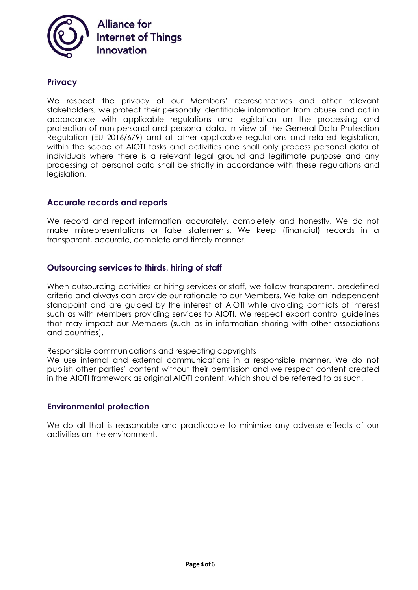

## <span id="page-3-0"></span>**Privacy**

We respect the privacy of our Members' representatives and other relevant stakeholders, we protect their personally identifiable information from abuse and act in accordance with applicable regulations and legislation on the processing and protection of non-personal and personal data. In view of the General Data Protection Regulation (EU 2016/679) and all other applicable regulations and related legislation, within the scope of AIOTI tasks and activities one shall only process personal data of individuals where there is a relevant legal ground and legitimate purpose and any processing of personal data shall be strictly in accordance with these regulations and legislation.

### <span id="page-3-1"></span>**Accurate records and reports**

We record and report information accurately, completely and honestly. We do not make misrepresentations or false statements. We keep (financial) records in a transparent, accurate, complete and timely manner.

#### <span id="page-3-2"></span>**Outsourcing services to thirds, hiring of staff**

When outsourcing activities or hiring services or staff, we follow transparent, predefined criteria and always can provide our rationale to our Members. We take an independent standpoint and are guided by the interest of AIOTI while avoiding conflicts of interest such as with Members providing services to AIOTI. We respect export control guidelines that may impact our Members (such as in information sharing with other associations and countries).

Responsible communications and respecting copyrights

We use internal and external communications in a responsible manner. We do not publish other parties' content without their permission and we respect content created in the AIOTI framework as original AIOTI content, which should be referred to as such.

#### <span id="page-3-3"></span>**Environmental protection**

We do all that is reasonable and practicable to minimize any adverse effects of our activities on the environment.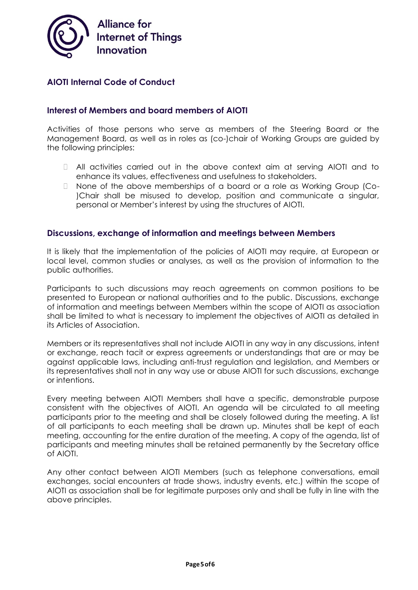

**Alliance for Internet of Things** Innovation

# <span id="page-4-0"></span>**AIOTI Internal Code of Conduct**

# <span id="page-4-1"></span>**Interest of Members and board members of AIOTI**

Activities of those persons who serve as members of the Steering Board or the Management Board, as well as in roles as (co-)chair of Working Groups are guided by the following principles:

- All activities carried out in the above context aim at serving AIOTI and to enhance its values, effectiveness and usefulness to stakeholders.
- □ None of the above memberships of a board or a role as Working Group (Co-)Chair shall be misused to develop, position and communicate a singular, personal or Member's interest by using the structures of AIOTI.

#### <span id="page-4-2"></span>**Discussions, exchange of information and meetings between Members**

It is likely that the implementation of the policies of AIOTI may require, at European or local level, common studies or analyses, as well as the provision of information to the public authorities.

Participants to such discussions may reach agreements on common positions to be presented to European or national authorities and to the public. Discussions, exchange of information and meetings between Members within the scope of AIOTI as association shall be limited to what is necessary to implement the objectives of AIOTI as detailed in its Articles of Association.

Members or its representatives shall not include AIOTI in any way in any discussions, intent or exchange, reach tacit or express agreements or understandings that are or may be against applicable laws, including anti-trust regulation and legislation, and Members or its representatives shall not in any way use or abuse AIOTI for such discussions, exchange or intentions.

Every meeting between AIOTI Members shall have a specific, demonstrable purpose consistent with the objectives of AIOTI. An agenda will be circulated to all meeting participants prior to the meeting and shall be closely followed during the meeting. A list of all participants to each meeting shall be drawn up. Minutes shall be kept of each meeting, accounting for the entire duration of the meeting. A copy of the agenda, list of participants and meeting minutes shall be retained permanently by the Secretary office of AIOTI.

Any other contact between AIOTI Members (such as telephone conversations, email exchanges, social encounters at trade shows, industry events, etc.) within the scope of AIOTI as association shall be for legitimate purposes only and shall be fully in line with the above principles.